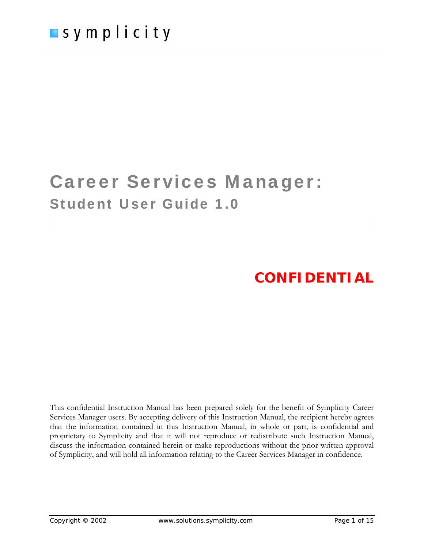# Career Services Manager: Student User Guide 1.0

# **CONFIDENTIAL**

This confidential Instruction Manual has been prepared solely for the benefit of Symplicity Career Services Manager users. By accepting delivery of this Instruction Manual, the recipient hereby agrees that the information contained in this Instruction Manual, in whole or part, is confidential and proprietary to Symplicity and that it will not reproduce or redistribute such Instruction Manual, discuss the information contained herein or make reproductions without the prior written approval of Symplicity, and will hold all information relating to the Career Services Manager in confidence.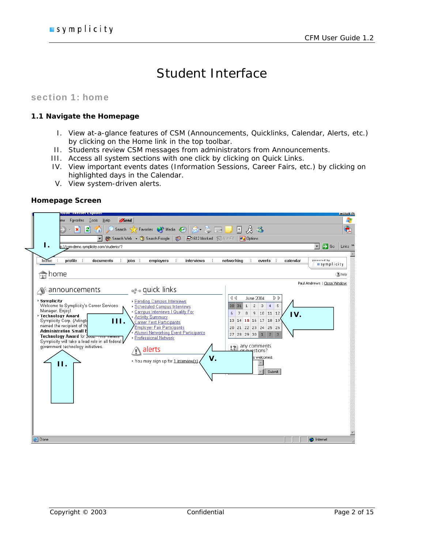# Student Interface

### section 1: home

### **1.1 Navigate the Homepage**

- I. View at-a-glance features of CSM (Announcements, Quicklinks, Calendar, Alerts, etc.) by clicking on the Home link in the top toolbar.
- II. Students review CSM messages from administrators from Announcements.
- III. Access all system sections with one click by clicking on Quick Links.
- IV. View important events dates (Information Sessions, Career Fairs, etc.) by clicking on highlighted days in the Calendar.
- V. View system-driven alerts.

### **Homepage Screen**

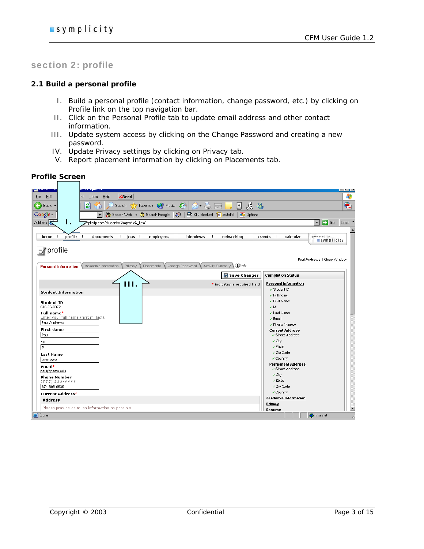Æ

Ā

 $\blacktriangle$ 

# section 2: profile

#### **2.1 Build a personal profile**

- I. Build a personal profile (contact information, change password, etc.) by clicking on Profile link on the top navigation bar.
- II. Click on the Personal Profile tab to update email address and other contact information.
- III. Update system access by clicking on the Change Password and creating a new password.
- IV. Update Privacy settings by clicking on Privacy tab.
- V. Report placement information by clicking on Placements tab.

#### **Profile Screen**  File Edit Tools Help  $\partial$ Send **Back** 介. Favorites  $\bigotimes$  Media  $\bigotimes$   $\bigotimes$   $\bigotimes$   $\bigotimes$  $\boxed{\ast}$  $\mathcal{B}$ e).  $\bigcirc$  Search ▼ (\* Search Web → ① Search Froogle | <mark>●</mark> 612 blocked 图 AutoFill | <mark>■</mark> Options Google -Address **E**  $\boxed{\blacksquare}$   $\rightarrow$  Go  $\boxed{\text{Links}}$  » **I.**  mplicity.com/students/?s=profile&\_ksl=1 profile powered by<br>■ Symplicity home documents  $\perp$ jobs employers interviews networking calendar events ि∦ profile Paul Andrews | Close Window Personal Information Academic Information Privacy Placements Change Password Activity Summary 10 help Save Changes **Completion Status Personal Information III.**  \* indicates a required field √ Student ID **Student Information**  $\checkmark$  Full name ✓ First Name **Student ID** 548-96-9872  $\times$  ML Full name\* √ Last Name **in name**<br>iter your full name (first mi last).  $\checkmark$  Email Paul Andrews ✔ Phone Number **First Name Current Address** Paul √ Street Address  $\checkmark$  City MI  $\checkmark$  State M  $\checkmark$  Zip Code Last Name √ Country Andrews Permanent Address Email\* √ Street Address paul@demo.edu  $\checkmark$  City **Phone Number**  $\checkmark$  State 874-898-9635  $\checkmark$  Zip Code √ Country Current Address\* **Academic Information Address** Privacy Please provide as much information as possible Resume **e** Done **D** Internet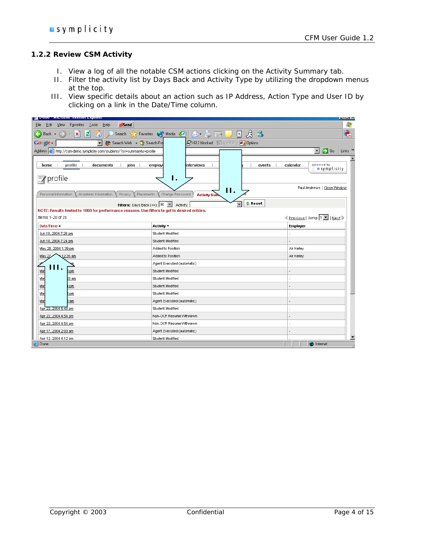### **1.2.2 Review CSM Activity**

- I. View a log of all the notable CSM actions clicking on the Activity Summary tab.
- II. Filter the activity list by Days Back and Activity Type by utilizing the dropdown menus at the top.
- III. View specific details about an action such as IP Address, Action Type and User ID by clicking on a link in the Date/Time column.

| и <mark>глано - містовой писніст паріона</mark> .                                                                 |                                                                                                                                | عرسرد                                                     |
|-------------------------------------------------------------------------------------------------------------------|--------------------------------------------------------------------------------------------------------------------------------|-----------------------------------------------------------|
| Tools<br>$\mathcal{O}$ send<br>Favorites<br>Help<br>Edit<br>View<br>File                                          |                                                                                                                                |                                                           |
| E)<br>$ \mathbf{x} $<br>$\leftarrow$<br>Back +<br>n                                                               | $\mathcal{B}$ $\mathcal{B}$<br>Search <b>A</b> Favorites <b>C</b> Media <b>C A B</b><br>$\left  \frac{1}{2} \right $           | Q                                                         |
| Search Web + (1) Search Fro<br>Google -<br>$\mathbf{r}$                                                           | <b>中</b> 612 blocked 冒 AutoFill<br><b>Z</b> Options                                                                            |                                                           |
| Address <sup>8</sup> http://csm-demo.symplicity.com/students/?ss=summary&s=profile                                |                                                                                                                                | $\rightarrow$ Go<br>$\overline{\phantom{a}}$<br>Links $"$ |
| profile i<br>documents<br>jobs<br>home<br>÷                                                                       | interviews<br>employ<br>÷<br>events                                                                                            | powered by<br>calendar<br>symplicity                      |
| profile                                                                                                           | Ι.                                                                                                                             |                                                           |
| Personal Information<br>Academic Information<br>Privacy<br>Placements                                             | П.<br>Change Password<br><b>Activity Sun</b>                                                                                   | Paul Andrews   Close Window                               |
| NOTE: Results limited to 1000 for performance reasons. Use filters to get to desired entries.<br>Items 1-20 of 20 | <b>C</b> Reset<br><b>Filters:</b> Days Back $(\leq)$ : $\boxed{90}$ $\boxed{\mathbf{v}}$ Activity:<br>$\overline{\phantom{a}}$ |                                                           |
| Date/Time $\triangle$                                                                                             | Activity $\blacktriangledown$                                                                                                  | <b>Employer</b>                                           |
| Jun 10, 2004 7:26 pm                                                                                              | Student Modified                                                                                                               |                                                           |
| Jun 10, 2004 7:24 pm                                                                                              | Student Modified                                                                                                               |                                                           |
| May 28, 2004 1:39 pm                                                                                              | Added to Position                                                                                                              | Air Kelley                                                |
| May 27<br>12:35 am                                                                                                | Added to Position                                                                                                              | Air Kelley                                                |
|                                                                                                                   | Agent Executed (automatic)                                                                                                     |                                                           |
| Ш.<br>Ma<br>pm                                                                                                    | Student Modified                                                                                                               |                                                           |
| Ma<br>) 3 am                                                                                                      | Student Modified                                                                                                               |                                                           |
| Ma<br>pm                                                                                                          | Student Modified                                                                                                               |                                                           |
| May<br>) pm                                                                                                       | Student Modified                                                                                                               |                                                           |
| May<br>l am                                                                                                       | Agent Executed (automatic)                                                                                                     |                                                           |
| Apr 22, 2004 5:48 pm                                                                                              | Student Modified                                                                                                               |                                                           |
| Apr 22, 2004 4:54 pm                                                                                              | Non-OCR Resume Withrawn                                                                                                        |                                                           |
| Apr 22, 2004 4:54 pm                                                                                              | Non-OCR Resume Withrawn                                                                                                        |                                                           |
| Apr 17, 2004 2:00 am                                                                                              | Agent Executed (automatic)                                                                                                     |                                                           |
| Apr 12, 2004 4:12 pm                                                                                              | Student Modified                                                                                                               |                                                           |
| Done                                                                                                              |                                                                                                                                | <b>O</b> Internet                                         |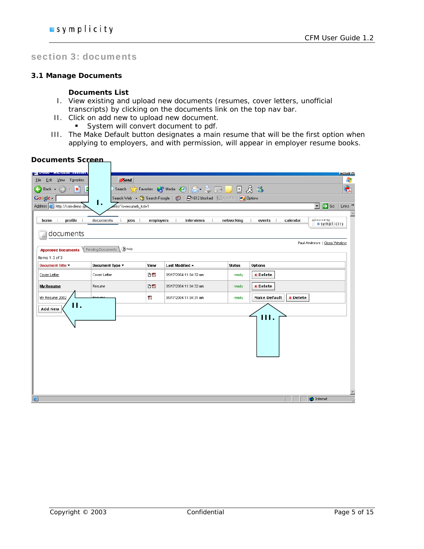# section 3: documents

#### **3.1 Manage Documents**

#### **Documents List**

- I. View existing and upload new documents (resumes, cover letters, unofficial transcripts) by clicking on the documents link on the top nav bar.
- II. Click on add new to upload new document.
	- System will convert document to pdf.
- III. The Make Default button designates a main resume that will be the first option when applying to employers, and with permission, will appear in employer resume books.

# **Documents Screen**

| и рошо писовой писные                                    |                                                                                                                                                                      |           |                                |               | ▐▆▊▀                                                                  |  |  |
|----------------------------------------------------------|----------------------------------------------------------------------------------------------------------------------------------------------------------------------|-----------|--------------------------------|---------------|-----------------------------------------------------------------------|--|--|
| Favorites<br>Edit<br>Eile<br><b>View</b>                 | $\partial$ Send                                                                                                                                                      |           |                                |               | 4,                                                                    |  |  |
| $\overline{\phantom{0}}$<br>$ \mathbf{x}$<br>Back +<br>Æ | Search                                                                                                                                                               |           | X Favorites W Media 8 8 - 8 5  |               | $\bigoplus$<br>国房格                                                    |  |  |
| Google -                                                 | Search Web $\bullet$ $\begin{pmatrix} \mathfrak{P} \\ \mathfrak{P} \end{pmatrix}$ Search Froogle<br>$\bullet$<br><b>早612 blocked</b> 冒 AutoFill<br><b>20</b> Options |           |                                |               |                                                                       |  |  |
| Address <b>&amp;</b> http://csm-demo.syn                 | Ι.<br>hts/?s=resume&_ksl=1                                                                                                                                           |           |                                |               | $\Rightarrow$ Go<br>Links <sup>&gt;&gt;</sup><br>$\blacktriangledown$ |  |  |
|                                                          |                                                                                                                                                                      |           |                                |               | $\blacktriangle$                                                      |  |  |
| profile<br>home                                          | jobs<br>documents<br>÷                                                                                                                                               | employers | interviews                     | networking    | powered by<br>events<br>calendar<br><b>symplicity</b>                 |  |  |
| documents                                                |                                                                                                                                                                      |           |                                |               |                                                                       |  |  |
|                                                          |                                                                                                                                                                      |           |                                |               | Paul Andrews   Close Window                                           |  |  |
| <b>Approved Documents</b>                                | (2) help<br>Pending Documents                                                                                                                                        |           |                                |               |                                                                       |  |  |
| Items 1-3 of 3                                           |                                                                                                                                                                      |           |                                |               |                                                                       |  |  |
| Document Title v                                         | Document Type v                                                                                                                                                      | View      | Last Modified $\blacktriangle$ | <b>Status</b> | Options                                                               |  |  |
| Cover Letter                                             | Cover Letter                                                                                                                                                         | DZ        | 05/17/2004 11:04:32 am         | ready         | <b>x</b> Delete                                                       |  |  |
| <b>My Resume</b>                                         | Resume                                                                                                                                                               | 凸層        | 05/17/2004 11:04:32 am         | ready         | <b>x</b> Delete                                                       |  |  |
| My Resume 2002                                           | Rogume                                                                                                                                                               | 7.        | 05/17/2004 11:04:31 am         | ready         | Make Default<br><b>x</b> Delete                                       |  |  |
| 11.<br>Add New                                           |                                                                                                                                                                      |           |                                |               |                                                                       |  |  |
|                                                          |                                                                                                                                                                      |           |                                |               | Ш.                                                                    |  |  |
| e                                                        |                                                                                                                                                                      |           |                                |               | E<br><b>O</b> Internet                                                |  |  |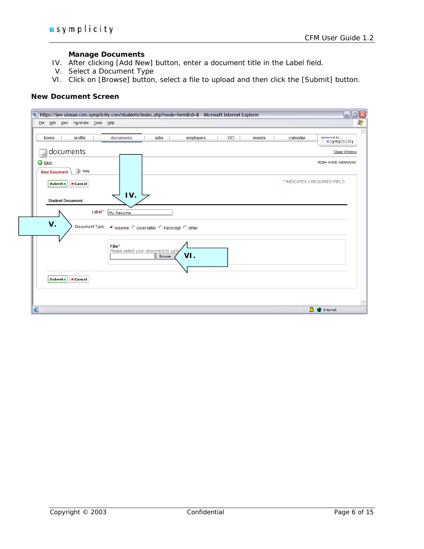#### **Manage Documents**

- IV. After clicking [Add New] button, enter a document title in the Label field.
- V. Select a Document Type
- VI. Click on [Browse] button, select a file to upload and then click the [Submit] button.

### **New Document Screen**

| File Edit View Favorites Tools Help          | https://law-utexas-csm.symplicity.com/students/index.php?mode=form&id=& - Microsoft Internet Explorer<br>$\Box$ ex |
|----------------------------------------------|--------------------------------------------------------------------------------------------------------------------|
|                                              |                                                                                                                    |
| profile<br>home<br>÷                         | powered by<br><b>OCI</b><br>jobs<br>employers<br>documents<br>calendar<br>events<br>symplicity                     |
| documents<br>ı m                             | <b>Close Window</b>                                                                                                |
| <b>Back</b><br>2 Help<br><b>New Document</b> | REBA ANNE ABRAHAM                                                                                                  |
| Submit >   X Cancel                          | * INDICATES A REQUIRED FIELD                                                                                       |
| <b>Student Document</b>                      | IV.                                                                                                                |
|                                              | Label*: My Resume                                                                                                  |
| V.                                           | Document Type: @ resume C cover letter C transcript C other                                                        |
|                                              | File*<br>Please select your document to uploz<br>VI.<br>Browse                                                     |
| <b>X</b> Cancel<br>Submit >                  |                                                                                                                    |
|                                              |                                                                                                                    |
| 6                                            | <b>A</b> Internet                                                                                                  |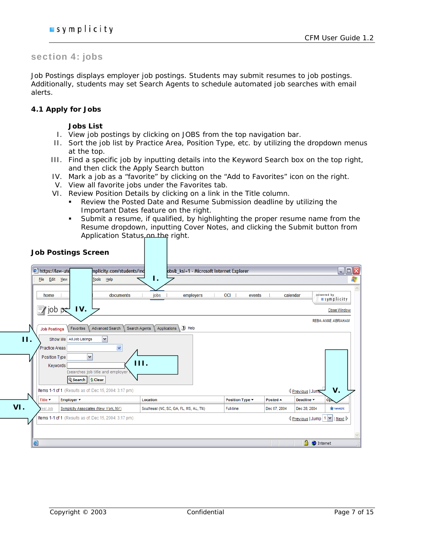# section 4: jobs

Job Postings displays employer job postings. Students may submit resumes to job postings. Additionally, students may set Search Agents to schedule automated job searches with email alerts.

#### **4.1 Apply for Jobs**

#### **Jobs List**

- I. View job postings by clicking on JOBS from the top navigation bar.
- II. Sort the job list by Practice Area, Position Type, etc. by utilizing the dropdown menus at the top.
- III. Find a specific job by inputting details into the Keyword Search box on the top right, and then click the Apply Search button
- IV. Mark a job as a "favorite" by clicking on the "Add to Favorites" icon on the right.
- V. View all favorite jobs under the Favorites tab.
- VI. Review Position Details by clicking on a link in the Title column.
	- Review the Posted Date and Resume Submission deadline by utilizing the Important Dates feature on the right.
	- Submit a resume, if qualified, by highlighting the proper resume name from the Resume dropdown, inputting Cover Notes, and clicking the Submit button from Application Status and the right.

|     |                            | <b>Job Postings Screen</b>                                              |              |                                          |                 |                    |                                           |                                  |
|-----|----------------------------|-------------------------------------------------------------------------|--------------|------------------------------------------|-----------------|--------------------|-------------------------------------------|----------------------------------|
|     | the https://law-ute        | mplicity.com/students/ind                                               |              | obs&_ksl=1 - Microsoft Internet Explorer |                 |                    |                                           | $\Box$ o $\boxtimes$             |
|     | Edit View<br>File          | Tools<br>Help                                                           | Ι.           |                                          |                 |                    |                                           | Æ                                |
|     |                            |                                                                         |              |                                          |                 |                    |                                           |                                  |
|     | home                       | documents                                                               | jobs         | employers                                | OCI  <br>events | calendar           |                                           | powered by<br><b>■symplicity</b> |
|     | $\equiv$ / job p $\approx$ | IV.                                                                     |              |                                          |                 |                    |                                           | <b>Close Window</b>              |
|     | <b>Job Postings</b>        | <b>Advanced Search</b><br>Favorites<br>Search Agents                    | Applications | (2) Help                                 |                 |                    |                                           | REBA ANNE ABRAHAM                |
| 11. |                            | Show Me All Job Listings<br>$\checkmark$                                |              |                                          |                 |                    |                                           |                                  |
|     | Practice Areas             | ×                                                                       |              |                                          |                 |                    |                                           |                                  |
|     | Position Type<br>Keywords  | v<br>(searches job title and employer<br><b>Q</b> Search   $\phi$ Clear | HL.          |                                          |                 |                    |                                           |                                  |
|     |                            | Items 1-1 of 1 (Results as of: Dec 15, 2004: 3:17 pm)                   |              |                                          |                 |                    | Previous   Jum                            | V.                               |
|     | Title $\blacktriangledown$ | Employer *                                                              | Location     |                                          | Position Type v | Posted $\triangle$ | Deadline $\blacktriangledown$             | Op                               |
| VI. | <b>Test Job</b>            | Symplicity Associates (New York, NY)                                    |              | Southeast (NC, SC, GA, FL, MS, AL, TN)   | Full-time       | Dec 07, 2004       | Dec 28, 2004                              | <b>THE FAUORITE</b>              |
|     |                            | Items 1-1 of 1 (Results as of: Dec 15, 2004: 3:17 pm)                   |              |                                          |                 |                    | I <u>Previous</u>   Jump   1   M   Next D |                                  |
|     |                            |                                                                         |              |                                          |                 |                    |                                           |                                  |
|     | 8                          |                                                                         |              |                                          |                 |                    | <b>A</b> Internet                         |                                  |
|     |                            |                                                                         |              |                                          |                 |                    |                                           |                                  |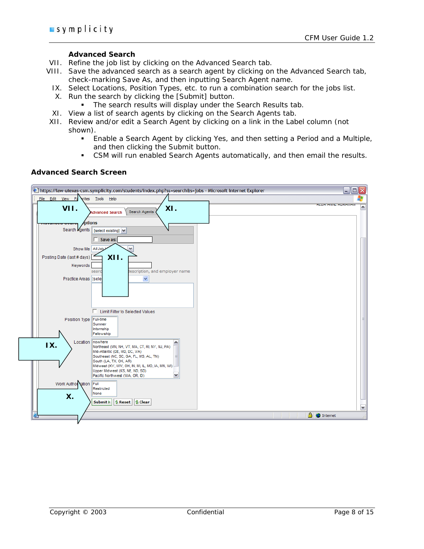#### **Advanced Search**

- VII. Refine the job list by clicking on the Advanced Search tab.
- VIII. Save the advanced search as a search agent by clicking on the Advanced Search tab, check-marking Save As, and then inputting Search Agent name.
	- IX. Select Locations, Position Types, etc. to run a combination search for the jobs list.
	- X. Run the search by clicking the [Submit] button.
		- The search results will display under the Search Results tab.
	- XI. View a list of search agents by clicking on the Search Agents tab.
- XII. Review and/or edit a Search Agent by clicking on a link in the Label column (not shown).
	- Enable a Search Agent by clicking Yes, and then setting a Period and a Multiple, and then clicking the Submit button.
	- CSM will run enabled Search Agents automatically, and then email the results.

#### **Advanced Search Screen**

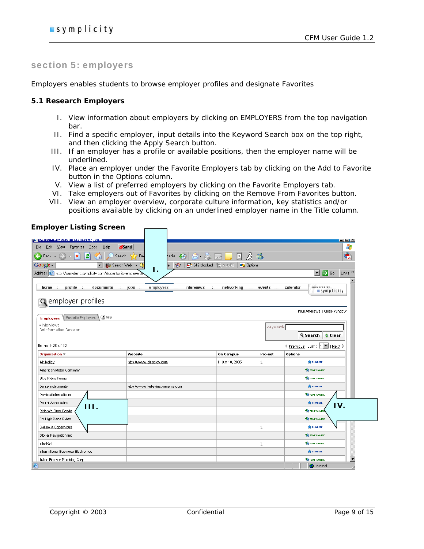## section 5: employers

Employers enables students to browse employer profiles and designate Favorites

#### **5.1 Research Employers**

- I. View information about employers by clicking on EMPLOYERS from the top navigation bar.
- II. Find a specific employer, input details into the Keyword Search box on the top right, and then clicking the Apply Search button.
- III. If an employer has a profile or available positions, then the employer name will be underlined.
- IV. Place an employer under the Favorite Employers tab by clicking on the Add to Favorite button in the Options column.
- V. View a list of preferred employers by clicking on the Favorite Employers tab.
- VI. Take employers out of Favorites by clicking on the Remove From Favorites button.
- VII. View an employer overview, corporate culture information, key statistics and/or positions available by clicking on an underlined employer name in the Title column.

| <b>Employer Listing Screen</b>                                                                    |                                               |                                                    |                             |                                                                                                                                                                                                                                         |
|---------------------------------------------------------------------------------------------------|-----------------------------------------------|----------------------------------------------------|-----------------------------|-----------------------------------------------------------------------------------------------------------------------------------------------------------------------------------------------------------------------------------------|
| <u>рания в минимонтиновые с хринет</u><br>Edit<br>⊻iew<br>Favorites<br>_ __ Tools<br>Help<br>Eile | $\partial$ Send                               |                                                    |                             | $  -$<br>4                                                                                                                                                                                                                              |
| ⊝<br>이<br>$\boldsymbol{\varkappa}$<br>Back +                                                      | Search<br>-69<br>Fay<br>ledia<br>$R =$        | $\left  \frac{1}{2} \right $<br>$\Rightarrow$      | $\mathcal{B}$ $\mathcal{B}$ | $\bigcirc$                                                                                                                                                                                                                              |
| Google -<br>$\overline{\phantom{a}}$                                                              | ூ<br>Search Web<br>$\mathcal{P}$<br>$\bullet$ | <b>2</b> Options<br><b>早612 blocked</b> 福 AutoFill |                             |                                                                                                                                                                                                                                         |
| Address <b>&amp;</b> http://csm-demo.symplicity.com/students/?s=employers&                        | Ι.                                            |                                                    |                             | $\vert \cdot \vert$<br>$\rightarrow$ Go<br>Links <sup>&gt;&gt;</sup>                                                                                                                                                                    |
|                                                                                                   |                                               |                                                    |                             |                                                                                                                                                                                                                                         |
| home<br>profile<br>documents                                                                      | jobs i<br>employers<br>interviews             | networking                                         | events                      | powered by<br>calendar<br><b>symplicity</b>                                                                                                                                                                                             |
|                                                                                                   |                                               |                                                    |                             |                                                                                                                                                                                                                                         |
| <b>Q</b> employer profiles                                                                        |                                               |                                                    |                             |                                                                                                                                                                                                                                         |
| (2) help<br>Favorite Employers                                                                    |                                               |                                                    |                             | Paul Andrews   Close Window                                                                                                                                                                                                             |
| <b>Employers</b><br>I=Interviews                                                                  |                                               |                                                    |                             |                                                                                                                                                                                                                                         |
| IS=Information Session                                                                            |                                               |                                                    | Keywords                    |                                                                                                                                                                                                                                         |
|                                                                                                   |                                               |                                                    |                             | <b>Q</b> Search<br><b>Clear</b>                                                                                                                                                                                                         |
| Items 1-20 of 32                                                                                  |                                               |                                                    |                             | <u>I Next Denote</u>   Jump 1 <u>  I Next</u> Denote   Next Denote   Next Denote   Next Denote   Next Denote   Next Denote   Next Denote   Next Denote   Next Denote   Next Denote   Next Denote   Next Denote   Next Denote   Next Den |
| Organization ~                                                                                    | Website                                       | <b>On Campus</b>                                   | Pro-net                     | Options                                                                                                                                                                                                                                 |
| Air Kelley                                                                                        | http://www.airkelley.com                      | 1: Jun 10, 2005                                    | $\overline{1}$              | <b>FRUORITE</b>                                                                                                                                                                                                                         |
| American Motor Company                                                                            |                                               |                                                    |                             | <b>TAN ADD FAUORITE</b>                                                                                                                                                                                                                 |
| <b>Blue Ridge Farms</b>                                                                           |                                               |                                                    |                             | <b>AT ADD FAUORITE</b>                                                                                                                                                                                                                  |
| Dante Instruments                                                                                 | http://www.kelleyinstruments.com              |                                                    |                             | <b>THE FAUORITE</b>                                                                                                                                                                                                                     |
| DaVinci International                                                                             |                                               |                                                    |                             | <b>THE ADD FAVORITE</b>                                                                                                                                                                                                                 |
| Dental Associates                                                                                 |                                               |                                                    |                             | <b>THE FAUORITE</b><br>IV.                                                                                                                                                                                                              |
| HL.<br>DiNero's Finer Foods                                                                       |                                               |                                                    |                             | <b>CARGO FRUORITE</b>                                                                                                                                                                                                                   |
| Fly High Plane Rides                                                                              |                                               |                                                    |                             | <b>TAN ADD FAUORITE</b>                                                                                                                                                                                                                 |
| Galileo & Copernicus                                                                              |                                               |                                                    | 1                           | <b>THE FAUGRITE</b>                                                                                                                                                                                                                     |
| Global Navigation Inc.                                                                            |                                               |                                                    |                             | <b>A ROD FRUORITE</b>                                                                                                                                                                                                                   |
| Inte-Kell                                                                                         |                                               |                                                    | $\overline{1}$              | <b>TAN ADD FAUORITE</b>                                                                                                                                                                                                                 |
| International Business Electronics                                                                |                                               |                                                    |                             | <b>THE FAUORITE</b>                                                                                                                                                                                                                     |
| Italian Brother Plumbing Corp                                                                     |                                               |                                                    |                             | <b>READD FAUORITE</b><br>▼                                                                                                                                                                                                              |
|                                                                                                   |                                               |                                                    |                             | <b>O</b> Internet                                                                                                                                                                                                                       |

# **Employer Listing Screen**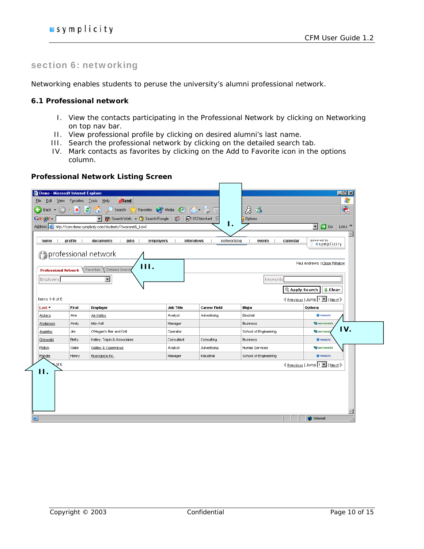# section 6: networking

Networking enables students to peruse the university's alumni professional network.

#### **6.1 Professional network**

- I. View the contacts participating in the Professional Network by clicking on Networking on top nav bar.
- II. View professional profile by clicking on desired alumni's last name.
- III. Search the professional network by clicking on the detailed search tab.
- IV. Mark contacts as favorites by clicking on the Add to Favorite icon in the options column.

|                             | Demo - Microsoft Internet Explorer |                                                                     |                         |                     |                       | $\Box$ D $\Box$                                               |
|-----------------------------|------------------------------------|---------------------------------------------------------------------|-------------------------|---------------------|-----------------------|---------------------------------------------------------------|
| File<br>Edit<br>View        | Favorites                          | $\partial$ Send<br>Help                                             |                         |                     |                       | 4                                                             |
| $\bigodot$ Back $\star$     | $\overline{\mathbf{x}}$            | Search Travorites O Media B R .<br>E                                |                         |                     | 启唱                    | $\hat{\mathbf{r}}$                                            |
| Google -                    |                                    | 第 Search Web ▼ 图 Search Froogle   1<br>$\overline{\phantom{a}}$     |                         | 早612 blocked 恒      | <b>Options</b>        |                                                               |
|                             |                                    | Address et http://csm-demo.symplicity.com/students/?s=pronet&_ksl=1 |                         | Ι.                  |                       | $\Rightarrow$ Go<br>Links <sup>&gt;&gt;</sup><br>$\mathbf{r}$ |
|                             |                                    |                                                                     |                         |                     |                       |                                                               |
| home                        | profile                            | documents<br>jobs                                                   | employers<br>interviews | networking          | events<br>calendar    | powered by<br>symplicity                                      |
|                             |                                    | <b>P</b> professional network                                       |                         |                     |                       |                                                               |
|                             |                                    |                                                                     |                         |                     |                       |                                                               |
|                             |                                    | III.<br><b>Detailed Search</b>                                      |                         |                     |                       | Paul Andrews   Close Window                                   |
| <b>Professional Network</b> |                                    | Favorites                                                           |                         |                     |                       |                                                               |
| Employers                   |                                    | $\overline{\phantom{a}}$                                            |                         |                     | Keywords              |                                                               |
|                             |                                    |                                                                     |                         |                     |                       | <b>Q</b> Apply Search<br><b>Clear</b>                         |
| Items 1-6 of 6              |                                    |                                                                     |                         |                     |                       | 4 Previous   Jump  1 ■   Next D                               |
| Last $\overline{ }$         | First                              | <b>Employer</b>                                                     | <b>Job Title</b>        | <b>Career Field</b> | Major                 | Options                                                       |
|                             |                                    |                                                                     | Analyst                 | Advertising         | Electrial             | <b>THE FAVORITE</b>                                           |
| Ackers                      | Ann                                | Air Kelley                                                          |                         |                     |                       |                                                               |
| Anderson                    | Andy                               | Inte-Kell                                                           | Manager                 |                     | <b>Business</b>       | <b>TAN ADD FAUORITE</b>                                       |
| Appleby                     | Jim                                | O'Hagan's Bar and Grill                                             | Operator                |                     | School of Engineering | IV.<br><b>TA</b> ADD FAVORT                                   |
| Griswald                    | Betty                              | Kelley, Tolpin & Associates                                         | Consultant              | Consulting          | <b>Business</b>       | <b>THE FAUORITE</b>                                           |
| Plotkin                     | Gabe                               | Galileo & Copernicus                                                | Analyst                 | Advertising         | Human Services        | <b>TAN ADD FAUORITE</b>                                       |
| Randle                      | Henry                              | Nuscopica Inc.                                                      | Manager                 | Industrial          | School of Engineering | <b>THE FAUORITE</b>                                           |
| of 6                        |                                    |                                                                     |                         |                     |                       |                                                               |
| 11.                         |                                    |                                                                     |                         |                     |                       | < Previous   Jump 1 ■   Next >                                |
|                             |                                    |                                                                     |                         |                     |                       |                                                               |
|                             |                                    |                                                                     |                         |                     |                       |                                                               |
|                             |                                    |                                                                     |                         |                     |                       |                                                               |
|                             |                                    |                                                                     |                         |                     |                       |                                                               |
|                             |                                    |                                                                     |                         |                     |                       |                                                               |

# **Professional Network Listing Screen**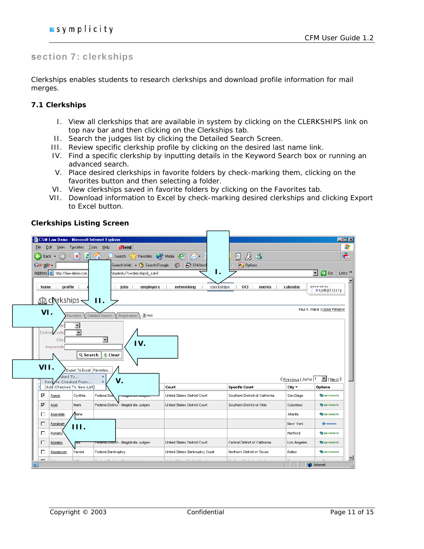# section 7: clerkships

Clerkships enables students to research clerkships and download profile information for mail merges.

#### **7.1 Clerkships**

- I. View all clerkships that are available in system by clicking on the CLERKSHIPS link on top nav bar and then clicking on the Clerkships tab.
- II. Search the judges list by clicking the Detailed Search Screen.
- III. Review specific clerkship profile by clicking on the desired last name link.
- IV. Find a specific clerkship by inputting details in the Keyword Search box or running an advanced search.
- V. Place desired clerkships in favorite folders by check-marking them, clicking on the favorites button and then selecting a folder.
- VI. View clerkships saved in favorite folders by clicking on the Favorites tab.
- VII. Download information to Excel by check-marking desired clerkships and clicking Export to Excel button.

|                                      | <b>CSM Law Demo - Microsoft Internet Explorer</b> |                                                      |                                                              |                                                              |                       |                                                                                                                  |
|--------------------------------------|---------------------------------------------------|------------------------------------------------------|--------------------------------------------------------------|--------------------------------------------------------------|-----------------------|------------------------------------------------------------------------------------------------------------------|
| File<br>Edit<br>View                 | <b>Favorites</b>                                  | Tools<br>Help<br>$\partial$ Send                     |                                                              |                                                              |                       |                                                                                                                  |
| Back +                               | е<br>$\boldsymbol{\mathsf{x}}$                    | Search 9                                             | Favorites <b>CA</b> Media (2)                                | $\mathcal{B}$ $\mathcal{B}$<br>⋤                             |                       |                                                                                                                  |
| Google -                             |                                                   | Search Web + (1) Search Froogle                      | 早614 block<br><b>32</b>                                      | <b>2</b> Options                                             |                       |                                                                                                                  |
| Address <b>e</b> http://law-demo-csm |                                                   | students/?s=clerkships&_ksl=1                        | Ι.                                                           |                                                              |                       | Links <sup>&gt;&gt;</sup><br>$\rightarrow$ Go<br>$\mathbf{r}$                                                    |
| home<br>∆∆ clerkships -              | profile                                           | employers<br>jobs<br>11.                             | networking<br>clerkships                                     | OCI  <br>events                                              | calendar              | powered by<br>symplicity                                                                                         |
| VI.                                  | Favorites                                         | (2) help<br>Registration<br>Detailed Search          |                                                              |                                                              |                       | Paul X. Ward   Close Window                                                                                      |
| City                                 |                                                   |                                                      |                                                              |                                                              |                       |                                                                                                                  |
| Keywords<br>VII.                     | Q Search<br>PExport To Excel Favorites            | IV.<br><b>Clear</b><br>ы                             |                                                              |                                                              |                       |                                                                                                                  |
|                                      | cked To<br>Rem e Checked From                     | V.<br>×                                              |                                                              |                                                              | Previous   Jump 1     |                                                                                                                  |
|                                      | <b>FAdd Checked To New List1</b>                  |                                                      | Court                                                        | <b>Specific Court</b>                                        | $City -$              | $\boxed{\blacksquare}$   Next $\triangleright$<br>Options<br><b>THE ADD FAVORITE</b>                             |
| ⊽<br>Aaron<br>⊽<br>Abel              | Cynthia<br>Mark                                   | Federal Dist<br>Federal District - Magistrate Judges | United States District Court<br>United States District Court | Southern District of California<br>Southern District of Ohio | San Diego<br>Columbus |                                                                                                                  |
| Е<br>Aberdale                        | <b>Diane</b>                                      |                                                      |                                                              |                                                              | Atlanta               |                                                                                                                  |
| Е<br><b>Abraham</b>                  |                                                   |                                                      |                                                              |                                                              | New York              | <b>FRUORITE</b>                                                                                                  |
| Е<br>Abrams                          | 111.                                              |                                                      |                                                              |                                                              | Hartford              |                                                                                                                  |
| Abrams<br>П                          | त्वधा                                             | <del>r euerarioism</del> et - Magistrate Judges      | United States District Court                                 | Central District of California                               | Los Angeles           |                                                                                                                  |
| Е<br>Abramson                        | Harold                                            | Federal Bankruptcy                                   | United States Bankruptcy Court                               | Northern District of Texas                                   | Dallas                | <b>ARE ADD FAUORITE</b><br><b>THE ADD FAUORITE</b><br><b>THE ADD FAVORITE</b><br>RE ADD FAVORITE<br>ROD FAVORITE |

### **Clerkships Listing Screen**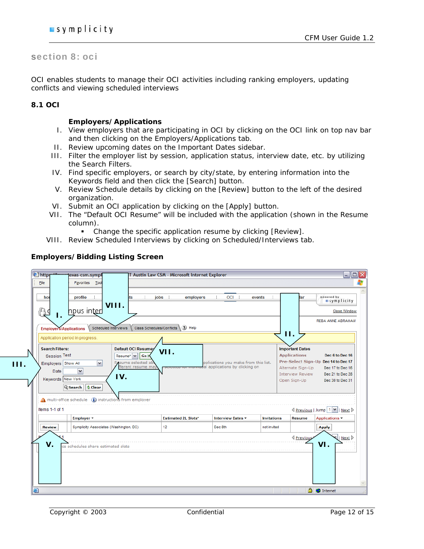# section 8: oci

OCI enables students to manage their OCI activities including ranking employers, updating conflicts and viewing scheduled interviews

#### **8.1 OCI**

 **III.** 

#### **Employers/Applications**

- I. View employers that are participating in OCI by clicking on the OCI link on top nav bar and then clicking on the Employers/Applications tab.
- II. Review upcoming dates on the Important Dates sidebar.
- III. Filter the employer list by session, application status, interview date, etc. by utilizing the Search Filters.
- IV. Find specific employers, or search by city/state, by entering information into the Keywords field and then click the [Search] button.
- V. Review Schedule details by clicking on the [Review] button to the left of the desired organization.
- VI. Submit an OCI application by clicking on the [Apply] button.
- VII. The "Default OCI Resume" will be included with the application (shown in the Resume column).
	- Change the specific application resume by clicking [Review].
- VIII. Review Scheduled Interviews by clicking on Scheduled/Interviews tab.

| <sup>2</sup> https<br>H | texas-csm.sympl                                                                                                                                                                     |                                                                                                       | T Austin Law CSM - Microsoft Internet Explorer |                                                                        |                    |                                                                                                               | $\blacksquare$ $\blacksquare$ $\times$                                                                             |   |
|-------------------------|-------------------------------------------------------------------------------------------------------------------------------------------------------------------------------------|-------------------------------------------------------------------------------------------------------|------------------------------------------------|------------------------------------------------------------------------|--------------------|---------------------------------------------------------------------------------------------------------------|--------------------------------------------------------------------------------------------------------------------|---|
| Eile                    | Favorites Tool                                                                                                                                                                      |                                                                                                       |                                                |                                                                        |                    |                                                                                                               |                                                                                                                    | Ŧ |
| hor                     | profile                                                                                                                                                                             | jobs<br>ts<br>VIII.                                                                                   | employers                                      | OCI  <br>events                                                        |                    | lar                                                                                                           | powered by<br>symplicity                                                                                           |   |
| ႙ၟၟ                     | npus inter<br>Ι.                                                                                                                                                                    |                                                                                                       |                                                |                                                                        |                    |                                                                                                               | <b>Close Window</b><br>REBA ANNE ABRAHAM                                                                           |   |
|                         | <b>Employers/Applications</b>                                                                                                                                                       | Class Schedules/Conflicts<br>Scheduled Interviews                                                     | (2) Help                                       |                                                                        |                    |                                                                                                               |                                                                                                                    |   |
|                         | Application period in progress.                                                                                                                                                     |                                                                                                       |                                                |                                                                        |                    | П.                                                                                                            |                                                                                                                    |   |
| <b>Search Filters:</b>  | Session Test<br>Employers Show All<br>$\checkmark$<br>$\checkmark$<br>Date<br>Keywords New York<br><b>Clear</b><br>Q Search<br>multi-office schedule (i) instructions from employer | <b>Default OCI Resume:</b><br>$Resume^* \vee    Go$<br>Resume selected al<br>fferent resume ma<br>IV. | VII.                                           | pplications you make from this list.<br>al applications by clicking on |                    | <b>Important Dates</b><br><b>Applications</b><br>Alternate Sign-Up<br><b>Interview Review</b><br>Open Sign-Up | Dec 6 to Dec 16<br>Pre-Select Sign-Up Dec 14 to Dec 17<br>Dec 17 to Dec 16<br>Dec 21 to Dec 28<br>Dec 30 to Dec 31 |   |
| Items 1-1 of 1          | Employer v                                                                                                                                                                          |                                                                                                       | <b>Estimated 2L Slots*</b>                     | Interview Dates                                                        | <b>Invitations</b> | Resume                                                                                                        | I <u>Previous</u>   Jump   1   ∨   Next D<br>Applications -                                                        |   |
| <b>Review</b>           | Symplicity Associates (Washington, DC)                                                                                                                                              |                                                                                                       | 12 <sup>°</sup>                                | Dec 8th                                                                | not invited        |                                                                                                               | <b>Apply</b>                                                                                                       |   |
| V.                      | ce schedules share estimated slots                                                                                                                                                  |                                                                                                       |                                                |                                                                        |                    | <b></b> Previous                                                                                              | $\mid$   Next $\mid$<br>VI.                                                                                        |   |
| ē                       |                                                                                                                                                                                     |                                                                                                       |                                                |                                                                        |                    | €                                                                                                             | Internet                                                                                                           |   |

### **Employers/Bidding Listing Screen**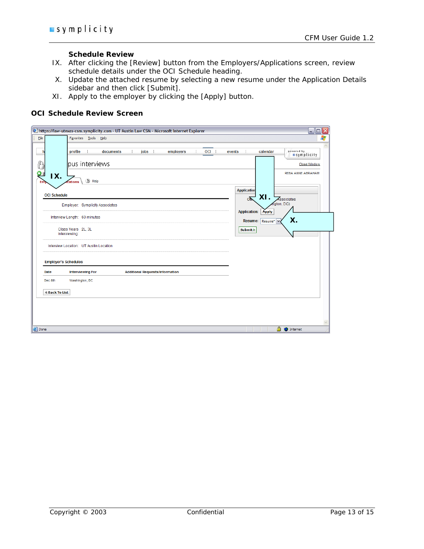#### **Schedule Review**

- IX. After clicking the [Review] button from the Employers/Applications screen, review schedule details under the OCI Schedule heading.
- X. Update the attached resume by selecting a new resume under the Application Details sidebar and then click [Submit].
- XI. Apply to the employer by clicking the [Apply] button.

#### **OCI Schedule Review Screen**

| E https://law-utexas-csm.symplicity.com - UT Austin Law CSM - Microsoft Internet Explorer |                                        |                                                                             | $\blacksquare$ $\blacksquare$ $\times$                 |
|-------------------------------------------------------------------------------------------|----------------------------------------|-----------------------------------------------------------------------------|--------------------------------------------------------|
| Favorites Tools<br>Eile<br>Help                                                           |                                        |                                                                             | Æ                                                      |
| T<br>profile<br>documents<br>pus interviews                                               | ÷<br>jobs  <br>employers<br>÷.         | OCI  <br>÷<br>calendar<br>events                                            | powered by<br><i>symplicity</i><br><b>Close Window</b> |
| O B<br>IX.<br>(2) Help<br>Em.<br>cations<br><b>OCI Schedule</b>                           |                                        | <b>Application</b><br>XI.                                                   | REBA ANNE ABRAHAM                                      |
| Employer: Symplicity Associates                                                           |                                        | Of <sub>n</sub><br>Associates<br>igton, DC)<br>Apply<br><b>Application:</b> |                                                        |
| Interview Length: 60 minutes                                                              |                                        | Χ.<br>Resume:<br>$Resume^*$ $\vee$                                          |                                                        |
| Class Years 2L, 3L<br>Interviewing:                                                       |                                        | Submit »                                                                    |                                                        |
| Interview Location: UT Austin Location                                                    |                                        |                                                                             |                                                        |
| <b>Employer's Schedules</b>                                                               |                                        |                                                                             |                                                        |
| <b>Interviewing For</b><br>Date                                                           | <b>Additional Requests/Information</b> |                                                                             |                                                        |
| Washington, DC<br>Dec 8th                                                                 |                                        |                                                                             |                                                        |
| <b>I</b> Back To List                                                                     |                                        |                                                                             |                                                        |
|                                                                                           |                                        |                                                                             |                                                        |
|                                                                                           |                                        |                                                                             |                                                        |
| <b>Done</b>                                                                               |                                        | <b>A</b> Internet                                                           |                                                        |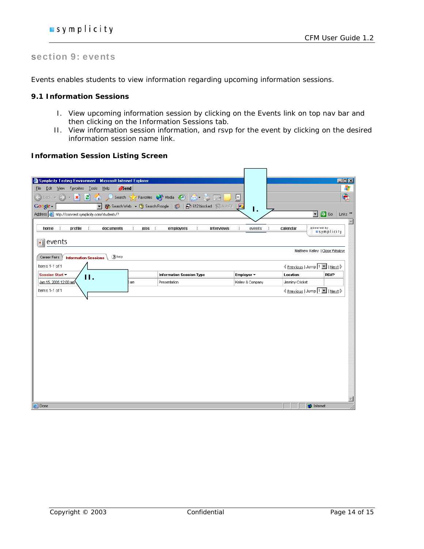# section 9: events

Events enables students to view information regarding upcoming information sessions.

### **9.1 Information Sessions**

- I. View upcoming information session by clicking on the Events link on top nav bar and then clicking on the Information Sessions tab.
- II. View information session information, and rsvp for the event by clicking on the desired information session name link.

#### **Information Session Listing Screen**

| Symplicity Testing Environment - Microsoft Internet Explorer<br>$\partial$ Send<br>Edit View Favorites Tools<br>Help<br>Eile<br>$\boxed{\frac{1}{2}}$<br>e<br>Search Travorites O Media (3)<br>×<br>Back -<br>$\overline{\mathbf{z}}$<br>Google -<br>Search Web + (1) Search Froogle<br>$\mathcal{F}$<br>B 612 blocked 图 AutoFill<br>$\blacktriangledown$<br>1.<br>$\vert \mathbf{r} \vert$<br>$\Rightarrow$ Go<br>Address 6 http://csm-test.symplicity.com/students/?<br>powered by<br>home<br>profile<br>documents<br>jobs<br>employers<br>interviews<br>events<br>calendar<br>I.<br>÷<br>symplicity<br>events<br>H<br>Matthew Kelley   Close Window<br>(2) help<br>Career Fairs<br><b>Information Sessions</b><br><b>I</b> Previous   Jump 1 ■   Next D<br>Items 1-1 of 1<br><b>RSVP</b><br>Session Start<br>Information Session Type<br>Employer <b>v</b><br>Location<br>11.<br>Jan 15, 2005 12:00 am<br>Presentation<br>Kelley & Company<br>Jimminy Cricket<br>am<br>< Previous   Jump 1 ■   Next ><br>Items 1-1 of 1 |
|----------------------------------------------------------------------------------------------------------------------------------------------------------------------------------------------------------------------------------------------------------------------------------------------------------------------------------------------------------------------------------------------------------------------------------------------------------------------------------------------------------------------------------------------------------------------------------------------------------------------------------------------------------------------------------------------------------------------------------------------------------------------------------------------------------------------------------------------------------------------------------------------------------------------------------------------------------------------------------------------------------------------------|
|                                                                                                                                                                                                                                                                                                                                                                                                                                                                                                                                                                                                                                                                                                                                                                                                                                                                                                                                                                                                                            |
|                                                                                                                                                                                                                                                                                                                                                                                                                                                                                                                                                                                                                                                                                                                                                                                                                                                                                                                                                                                                                            |
|                                                                                                                                                                                                                                                                                                                                                                                                                                                                                                                                                                                                                                                                                                                                                                                                                                                                                                                                                                                                                            |
|                                                                                                                                                                                                                                                                                                                                                                                                                                                                                                                                                                                                                                                                                                                                                                                                                                                                                                                                                                                                                            |
|                                                                                                                                                                                                                                                                                                                                                                                                                                                                                                                                                                                                                                                                                                                                                                                                                                                                                                                                                                                                                            |
|                                                                                                                                                                                                                                                                                                                                                                                                                                                                                                                                                                                                                                                                                                                                                                                                                                                                                                                                                                                                                            |
|                                                                                                                                                                                                                                                                                                                                                                                                                                                                                                                                                                                                                                                                                                                                                                                                                                                                                                                                                                                                                            |
|                                                                                                                                                                                                                                                                                                                                                                                                                                                                                                                                                                                                                                                                                                                                                                                                                                                                                                                                                                                                                            |
|                                                                                                                                                                                                                                                                                                                                                                                                                                                                                                                                                                                                                                                                                                                                                                                                                                                                                                                                                                                                                            |
|                                                                                                                                                                                                                                                                                                                                                                                                                                                                                                                                                                                                                                                                                                                                                                                                                                                                                                                                                                                                                            |
|                                                                                                                                                                                                                                                                                                                                                                                                                                                                                                                                                                                                                                                                                                                                                                                                                                                                                                                                                                                                                            |
|                                                                                                                                                                                                                                                                                                                                                                                                                                                                                                                                                                                                                                                                                                                                                                                                                                                                                                                                                                                                                            |
| <b>e</b> Done<br><b>C</b> Internet                                                                                                                                                                                                                                                                                                                                                                                                                                                                                                                                                                                                                                                                                                                                                                                                                                                                                                                                                                                         |